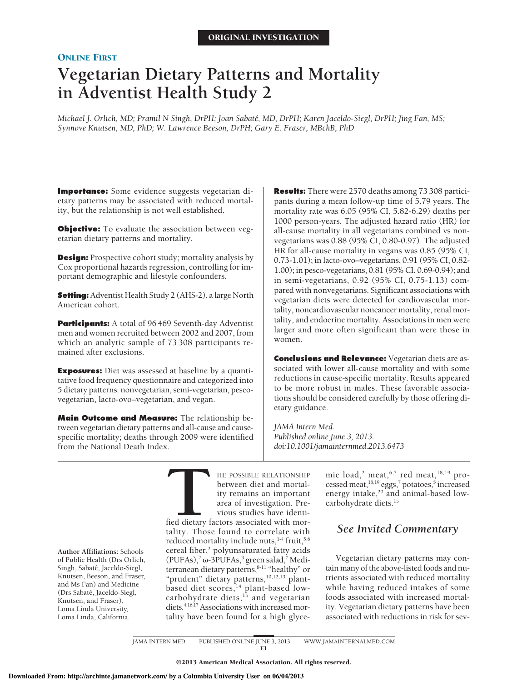# **ONLINE FIRST Vegetarian Dietary Patterns and Mortality in Adventist Health Study 2**

*Michael J. Orlich, MD; Pramil N Singh, DrPH; Joan Sabate´, MD, DrPH; Karen Jaceldo-Siegl, DrPH; Jing Fan, MS; Synnove Knutsen, MD, PhD; W. Lawrence Beeson, DrPH; Gary E. Fraser, MBchB, PhD*

**Importance:** Some evidence suggests vegetarian dietary patterns may be associated with reduced mortality, but the relationship is not well established.

**Objective:** To evaluate the association between vegetarian dietary patterns and mortality.

**Design:** Prospective cohort study; mortality analysis by Cox proportional hazards regression, controlling for important demographic and lifestyle confounders.

**Setting:** Adventist Health Study 2 (AHS-2), a large North American cohort.

**Participants:** A total of 96 469 Seventh-day Adventist men and women recruited between 2002 and 2007, from which an analytic sample of 73 308 participants remained after exclusions.

**Exposures:** Diet was assessed at baseline by a quantitative food frequency questionnaire and categorized into 5 dietary patterns: nonvegetarian, semi-vegetarian, pescovegetarian, lacto-ovo–vegetarian, and vegan.

**Main Outcome and Measure:** The relationship between vegetarian dietary patterns and all-cause and causespecific mortality; deaths through 2009 were identified from the National Death Index.

**Results:** There were 2570 deaths among 73 308 participants during a mean follow-up time of 5.79 years. The mortality rate was 6.05 (95% CI, 5.82-6.29) deaths per 1000 person-years. The adjusted hazard ratio (HR) for all-cause mortality in all vegetarians combined vs nonvegetarians was 0.88 (95% CI, 0.80-0.97). The adjusted HR for all-cause mortality in vegans was 0.85 (95% CI, 0.73-1.01); in lacto-ovo–vegetarians, 0.91 (95% CI, 0.82- 1.00); in pesco-vegetarians, 0.81 (95% CI, 0.69-0.94); and in semi-vegetarians, 0.92 (95% CI, 0.75-1.13) compared with nonvegetarians. Significant associations with vegetarian diets were detected for cardiovascular mortality, noncardiovascular noncancer mortality, renal mortality, and endocrine mortality. Associations in men were larger and more often significant than were those in women.

**Conclusions and Relevance:** Vegetarian diets are associated with lower all-cause mortality and with some reductions in cause-specific mortality. Results appeared to be more robust in males. These favorable associations should be considered carefully by those offering dietary guidance.

*JAMA Intern Med. Published online June 3, 2013. doi:10.1001/jamainternmed.2013.6473*

**Author Affiliations:** Schools of Public Health (Drs Orlich, Singh, Sabaté, Jaceldo-Siegl, Knutsen, Beeson, and Fraser, and Ms Fan) and Medicine (Drs Sabaté, Jaceldo-Siegl, Knutsen, and Fraser), Loma Linda University, Loma Linda, California.

THE POSSIBLE RELATIONSHIP<br>
between diet and mortal-<br>
ity remains an important<br>
area of investigation. Pre-<br>
vious studies have identi-<br>
fied dietary factors associated with mor-<br>
tality. Those found to correlate with between diet and mortality remains an important area of investigation. Previous studies have identitality. Those found to correlate with reduced mortality include nuts, $1.4$  fruit,  $5.6$ cereal fiber,<sup>2</sup> polyunsaturated fatty acids (PUFAs),<sup>2</sup>  $\omega$ -3PUFAs,<sup>3</sup> green salad,<sup>7</sup> Mediterranean dietary patterns,<sup>8-11</sup> "healthy" or "prudent" dietary patterns,<sup>10,12,13</sup> plantbased diet scores, $14$  plant-based lowcarbohydrate diets, $\frac{1}{15}$  and vegetarian diets.<sup>4,16,17</sup> Associations with increased mortality have been found for a high glyce-

mic load,<sup>2</sup> meat, $6,7$  red meat, $18,19$  processed meat, <sup>18,19</sup> eggs,<sup>7</sup> potatoes,<sup>5</sup> increased energy intake,<sup>20</sup> and animal-based lowcarbohydrate diets.15

# *See Invited Commentary*

Vegetarian dietary patterns may contain many of the above-listed foods and nutrients associated with reduced mortality while having reduced intakes of some foods associated with increased mortality. Vegetarian dietary patterns have been associated with reductions in risk for sev-

JAMA INTERN MED PUBLISHED ONLINE JUNE 3, 2013 WWW. JAMAINTERNALMED.COM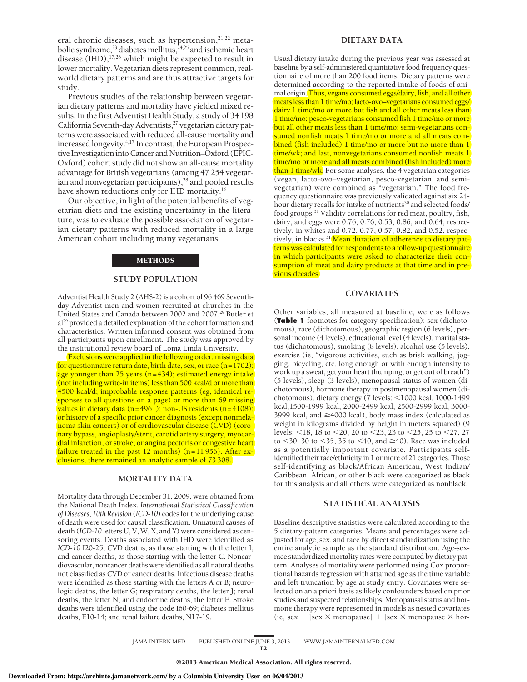eral chronic diseases, such as hypertension, $2^{1,22}$  metabolic syndrome,<sup>23</sup> diabetes mellitus,<sup>24,25</sup> and ischemic heart disease (IHD),<sup>17,26</sup> which might be expected to result in lower mortality. Vegetarian diets represent common, realworld dietary patterns and are thus attractive targets for study.

Previous studies of the relationship between vegetarian dietary patterns and mortality have yielded mixed results. In the first Adventist Health Study, a study of 34 198 California Seventh-day Adventists, $27$  vegetarian dietary patterns were associated with reduced all-cause mortality and increased longevity.4,17 In contrast, the European Prospective Investigation into Cancer and Nutrition–Oxford (EPIC-Oxford) cohort study did not show an all-cause mortality advantage for British vegetarians (among 47 254 vegetarian and nonvegetarian participants), $^{28}$  and pooled results have shown reductions only for IHD mortality.<sup>16</sup>

Our objective, in light of the potential benefits of vegetarian diets and the existing uncertainty in the literature, was to evaluate the possible association of vegetarian dietary patterns with reduced mortality in a large American cohort including many vegetarians.

#### METHODS

#### **STUDY POPULATION**

Adventist Health Study 2 (AHS-2) is a cohort of 96 469 Seventhday Adventist men and women recruited at churches in the United States and Canada between 2002 and 2007.<sup>29</sup> Butler et al<sup>29</sup> provided a detailed explanation of the cohort formation and characteristics. Written informed consent was obtained from all participants upon enrollment. The study was approved by the institutional review board of Loma Linda University.

Exclusions were applied in the following order: missing data for questionnaire return date, birth date, sex, or race  $(n=1702)$ ; age younger than 25 years (n=434); estimated energy intake (not including write-in items) less than 500 kcal/d or more than 4500 kcal/d; improbable response patterns (eg, identical responses to all questions on a page) or more than 69 missing values in dietary data (n=4961); non-US residents (n=4108); or history of a specific prior cancer diagnosis (except nonmelanoma skin cancers) or of cardiovascular disease (CVD) (coronary bypass, angioplasty/stent, carotid artery surgery, myocardial infarction, or stroke; or angina pectoris or congestive heart failure treated in the past 12 months)  $(n=11 956)$ . After exclusions, there remained an analytic sample of 73 308.

#### **MORTALITY DATA**

Mortality data through December 31, 2009, were obtained from the National Death Index. *International Statistical Classification of Diseases*, *10th Revision* (*ICD-10*) codes for the underlying cause of death were used for causal classification. Unnatural causes of death (*ICD-10* letters U, V, W, X, and Y) were considered as censoring events. Deaths associated with IHD were identified as *ICD-10* I20-25; CVD deaths, as those starting with the letter I; and cancer deaths, as those starting with the letter C. Noncardiovascular, noncancer deaths were identified as all natural deaths not classified as CVD or cancer deaths. Infectious disease deaths were identified as those starting with the letters A or B; neurologic deaths, the letter G; respiratory deaths, the letter J; renal deaths, the letter N; and endocrine deaths, the letter E. Stroke deaths were identified using the code I60-69; diabetes mellitus deaths, E10-14; and renal failure deaths, N17-19.

#### **DIETARY DATA**

Usual dietary intake during the previous year was assessed at baseline by a self-administered quantitative food frequency questionnaire of more than 200 food items. Dietary patterns were determined according to the reported intake of foods of animal origin. Thus, vegans consumed eggs/dairy, fish, and all other meats less than 1 time/mo; lacto-ovo–vegetarians consumed eggs/ dairy 1 time/mo or more but fish and all other meats less than 1 time/mo; pesco-vegetarians consumed fish 1 time/mo or more but all other meats less than 1 time/mo; semi-vegetarians consumed nonfish meats 1 time/mo or more and all meats combined (fish included) 1 time/mo or more but no more than 1 time/wk; and last, nonvegetarians consumed nonfish meats 1 time/mo or more and all meats combined (fish included) more than 1 time/wk. For some analyses, the 4 vegetarian categories (vegan, lacto-ovo–vegetarian, pesco-vegetarian, and semivegetarian) were combined as "vegetarian." The food frequency questionnaire was previously validated against six 24 hour dietary recalls for intake of nutrients<sup>30</sup> and selected foods/ food groups.31 Validity correlations for red meat, poultry, fish, dairy, and eggs were 0.76, 0.76, 0.53, 0.86, and 0.64, respectively, in whites and 0.72, 0.77, 0.57, 0.82, and 0.52, respectively, in blacks.<sup>31</sup> Mean duration of adherence to dietary patterns was calculated for respondents to a follow-up questionnaire in which participants were asked to characterize their consumption of meat and dairy products at that time and in previous decades.

#### **COVARIATES**

Other variables, all measured at baseline, were as follows (**Table 1** footnotes for category specification): sex (dichotomous), race (dichotomous), geographic region (6 levels), personal income (4 levels), educational level (4 levels), marital status (dichotomous), smoking (8 levels), alcohol use (5 levels), exercise (ie, "vigorous activities, such as brisk walking, jogging, bicycling, etc, long enough or with enough intensity to work up a sweat, get your heart thumping, or get out of breath") (5 levels), sleep (3 levels), menopausal status of women (dichotomous), hormone therapy in postmenopausal women (dichotomous), dietary energy (7 levels: <1000 kcal, 1000-1499 kcal,1500-1999 kcal, 2000-2499 kcal, 2500-2999 kcal, 3000- 3999 kcal, and  $\geq$ 4000 kcal), body mass index (calculated as weight in kilograms divided by height in meters squared) (9 levels:  $\leq$ 18, 18 to  $\leq$ 20, 20 to  $\leq$ 23, 23 to  $\leq$ 25, 25 to  $\leq$ 27, 27 to  $\leq$ 30, 30 to  $\leq$ 35, 35 to  $\leq$ 40, and  $\geq$ 40). Race was included as a potentially important covariate. Participants selfidentified their race/ethnicity in 1 or more of 21 categories. Those self-identifying as black/African American, West Indian/ Caribbean, African, or other black were categorized as black for this analysis and all others were categorized as nonblack.

#### **STATISTICAL ANALYSIS**

Baseline descriptive statistics were calculated according to the 5 dietary-pattern categories. Means and percentages were adjusted for age, sex, and race by direct standardization using the entire analytic sample as the standard distribution. Age-sexrace standardized mortality rates were computed by dietary pattern. Analyses of mortality were performed using Cox proportional hazards regression with attained age as the time variable and left truncation by age at study entry. Covariates were selected on an a priori basis as likely confounders based on prior studies and suspected relationships. Menopausal status and hormone therapy were represented in models as nested covariates (ie, sex + [sex  $\times$  menopause] + [sex  $\times$  menopause  $\times$  hor-

JAMA INTERN MED PUBLISHED ONLINE JUNE 3, 2013 WWW. JAMAINTERNALMED.COM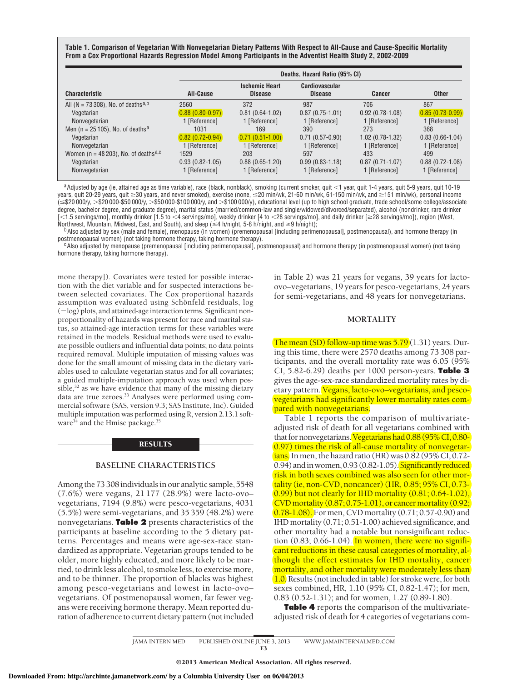**Table 1. Comparison of Vegetarian With Nonvegetarian Dietary Patterns With Respect to All-Cause and Cause-Specific Mortality From a Cox Proportional Hazards Regression Model Among Participants in the Adventist Health Study 2, 2002-2009**

|                                                | Deaths, Hazard Ratio (95% CI) |                                         |                                  |                     |                     |  |
|------------------------------------------------|-------------------------------|-----------------------------------------|----------------------------------|---------------------|---------------------|--|
| <b>Characteristic</b>                          | All-Cause                     | <b>Ischemic Heart</b><br><b>Disease</b> | Cardiovascular<br><b>Disease</b> | Cancer              | <b>Other</b>        |  |
| All (N = 73 308), No. of deaths <sup>a,b</sup> | 2560                          | 372                                     | 987                              | 706                 | 867                 |  |
| Vegetarian                                     | $0.88(0.80 - 0.97)$           | $0.81(0.64-1.02)$                       | $0.87(0.75-1.01)$                | $0.92(0.78 - 1.08)$ | $(0.85(0.73-0.99))$ |  |
| Nonvegetarian                                  | 1 [Reference]                 | 1 [Reference]                           | 1 [Reference]                    | 1 [Reference]       | 1 [Reference]       |  |
| Men (n = $25105$ ), No. of deaths <sup>a</sup> | 1031                          | 169                                     | 390                              | 273                 | 368                 |  |
| Vegetarian                                     | $0.82(0.72-0.94)$             | $(0.71(0.51-1.00))$                     | $0.71(0.57-0.90)$                | 1.02 (0.78-1.32)    | $0.83(0.66-1.04)$   |  |
| Nonvegetarian                                  | 1 [Reference]                 | 1 [Reference]                           | 1 [Reference]                    | 1 [Reference]       | 1 [Reference]       |  |
| Women (n = 48 203), No. of deaths $a, c$       | 1529                          | 203                                     | 597                              | 433                 | 499                 |  |
| Vegetarian                                     | $0.93(0.82 - 1.05)$           | $0.88(0.65-1.20)$                       | $0.99(0.83 - 1.18)$              | $0.87(0.71 - 1.07)$ | $0.88(0.72 - 1.08)$ |  |
| Nonvegetarian                                  | 1 [Reference]                 | 1 [Reference]                           | 1 [Reference]                    | 1 [Reference]       | 1 [Reference]       |  |

a Adjusted by age (ie, attained age as time variable), race (black, nonblack), smoking (current smoker, quit <1 year, quit 1-4 years, quit 5-9 years, quit 10-19 years, quit 20-29 years, quit ≥30 years, and never smoked), exercise (none, ≤20 min/wk, 21-60 min/wk, 61-150 min/wk, and ≥151 min/wk), personal income ( $\leq$ \$20 000/y,  $>$ \$20 000-\$50 000/y,  $>$ \$50 000-\$100 000/y, and  $>$ \$100 000/y), educational level (up to high school graduate, trade school/some college/associate degree, bachelor degree, and graduate degree), marital status (married/common-law and single/widowed/divorced/separated), alcohol (nondrinker, rare drinker [<1.5 servings/mo], monthly drinker [1.5 to <4 servings/mo], weekly drinker [4 to <28 servings/mo], and daily drinker [≥28 servings/mo]), region (West,

Northwest, Mountain, Midwest, East, and South), and sleep (≤4 h/night, 5-8 h/night, and ≥9 h/night);<br><sup>b</sup>Also adjusted by sex (male and female), menopause (in women) (premenopausal [including perimenopausal], postmenopausa

<sup>c</sup> Also adjusted by menopause (premenopausal [including perimenopausal], postmenopausal) and hormone therapy (in postmenopausal women) (not taking hormone therapy, taking hormone therapy).

mone therapy]). Covariates were tested for possible interaction with the diet variable and for suspected interactions between selected covariates. The Cox proportional hazards assumption was evaluated using Schönfeld residuals, log  $(-log)$  plots, and attained-age interaction terms. Significant nonproportionality of hazards was present for race and marital status, so attained-age interaction terms for these variables were retained in the models. Residual methods were used to evaluate possible outliers and influential data points; no data points required removal. Multiple imputation of missing values was done for the small amount of missing data in the dietary variables used to calculate vegetarian status and for all covariates; a guided multiple-imputation approach was used when possible, $32$  as we have evidence that many of the missing dietary data are true zeroes.<sup>33</sup> Analyses were performed using commercial software (SAS, version 9.3; SAS Institute, Inc). Guided multiple imputation was performed using R, version 2.13.1 software<sup>34</sup> and the Hmisc package.<sup>35</sup>

#### RESULTS

# **BASELINE CHARACTERISTICS**

Among the 73 308 individuals in our analytic sample, 5548 (7.6%) were vegans, 21 177 (28.9%) were lacto-ovo– vegetarians, 7194 (9.8%) were pesco-vegetarians, 4031 (5.5%) were semi-vegetarians, and 35 359 (48.2%) were nonvegetarians. **Table 2** presents characteristics of the participants at baseline according to the 5 dietary patterns. Percentages and means were age-sex-race standardized as appropriate. Vegetarian groups tended to be older, more highly educated, and more likely to be married, to drink less alcohol, to smoke less, to exercise more, and to be thinner. The proportion of blacks was highest among pesco-vegetarians and lowest in lacto-ovo– vegetarians. Of postmenopausal women, far fewer vegans were receiving hormone therapy. Mean reported duration of adherence to current dietary pattern (not included in Table 2) was 21 years for vegans, 39 years for lactoovo–vegetarians, 19 years for pesco-vegetarians, 24 years for semi-vegetarians, and 48 years for nonvegetarians.

#### **MORTALITY**

The mean  $(SD)$  follow-up time was  $5.79(1.31)$  years. During this time, there were 2570 deaths among 73 308 participants, and the overall mortality rate was 6.05 (95% CI, 5.82-6.29) deaths per 1000 person-years. **Table 3** gives the age-sex-race standardized mortality rates by dietary pattern. Vegans, lacto-ovo–vegetarians, and pescovegetarians had significantly lower mortality rates compared with nonvegetarians.

Table 1 reports the comparison of multivariateadjusted risk of death for all vegetarians combined with that for nonvegetarians. Vegetarians had 0.88 (95% CI, 0.80-0.97) times the risk of all-cause mortality of nonvegetarians. In men, the hazard ratio (HR) was 0.82 (95% CI, 0.72- $(0.94)$  and in women,  $(0.93)(0.82-1.05)$ . **Significantly reduced** risk in both sexes combined was also seen for other mortality (ie, non-CVD, noncancer) (HR, 0.85; 95% CI, 0.73-  $(0.99)$  but not clearly for IHD mortality  $(0.81; 0.64-1.02)$ , CVD mortality  $(0.87; 0.75-1.01)$ , or cancer mortality  $(0.92;$ 0.78-1.08). For men, CVD mortality (0.71; 0.57-0.90) and IHD mortality (0.71; 0.51-1.00) achieved significance, and other mortality had a notable but nonsignificant reduction  $(0.83; 0.66-1.04)$ . In women, there were no significant reductions in these causal categories of mortality, although the effect estimates for IHD mortality, cancer mortality, and other mortality were moderately less than 1.0. Results (not included in table) for stroke were, for both sexes combined, HR, 1.10 (95% CI, 0.82-1.47); for men, 0.83 (0.52-1.31); and for women, 1.27 (0.89-1.80).

**Table 4** reports the comparison of the multivariateadjusted risk of death for 4 categories of vegetarians com-

JAMA INTERN MED PUBLISHED ONLINE JUNE 3, 2013 WWW. JAMAINTERNALMED.COM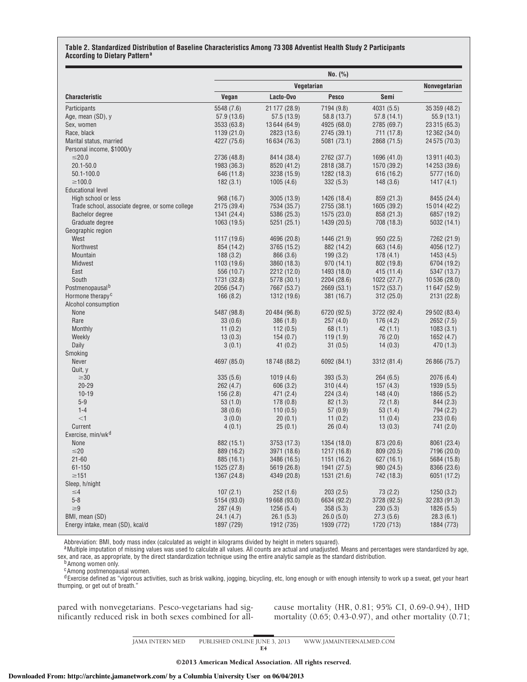#### **Table 2. Standardized Distribution of Baseline Characteristics Among 73 308 Adventist Health Study 2 Participants According to Dietary Pattern<sup>a</sup>**

|                                                 |             | Nonvegetarian |             |             |               |
|-------------------------------------------------|-------------|---------------|-------------|-------------|---------------|
| <b>Characteristic</b>                           | Vegan       | Lacto-Ovo     | Pesco       | Semi        |               |
| Participants                                    | 5548 (7.6)  | 21 177 (28.9) | 7194 (9.8)  | 4031 (5.5)  | 35 359 (48.2) |
| Age, mean (SD), y                               | 57.9 (13.6) | 57.5 (13.9)   | 58.8 (13.7) | 57.8(14.1)  | 55.9 (13.1)   |
| Sex, women                                      | 3533 (63.8) | 13 644 (64.9) | 4925 (68.0) | 2785 (69.7) | 23 315 (65.3) |
| Race, black                                     | 1139(21.0)  | 2823 (13.6)   | 2745 (39.1) | 711 (17.8)  | 12 362 (34.0) |
| Marital status, married                         | 4227 (75.6) | 16 634 (76.3) | 5081 (73.1) | 2868 (71.5) | 24 575 (70.3) |
| Personal income, \$1000/y                       |             |               |             |             |               |
| $≤20.0$                                         | 2736 (48.8) | 8414 (38.4)   | 2762 (37.7) | 1696 (41.0) | 13 911 (40.3) |
| $20.1 - 50.0$                                   | 1983 (36.3) | 8520 (41.2)   | 2818 (38.7) | 1570 (39.2) | 14 253 (39.6) |
| 50.1-100.0                                      | 646 (11.8)  | 3238 (15.9)   | 1282 (18.3) | 616 (16.2)  | 5777 (16.0)   |
| ≥100.0                                          | 182(3.1)    | 1005(4.6)     | 332(5.3)    | 148(3.6)    | 1417(4.1)     |
| <b>Educational level</b>                        |             |               |             |             |               |
| High school or less                             | 968 (16.7)  | 3005 (13.9)   | 1426 (18.4) | 859 (21.3)  | 8455 (24.4)   |
| Trade school, associate degree, or some college | 2175 (39.4) | 7534 (35.7)   | 2755 (38.1) | 1605 (39.2) | 15 014 (42.2) |
| Bachelor degree                                 | 1341 (24.4) | 5386 (25.3)   | 1575 (23.0) | 858 (21.3)  | 6857 (19.2)   |
| Graduate degree                                 | 1063 (19.5) | 5251(25.1)    | 1439 (20.5) | 708 (18.3)  | 5032 (14.1)   |
| Geographic region                               |             |               |             |             |               |
| West                                            | 1117 (19.6) | 4696 (20.8)   | 1446 (21.9) | 950 (22.5)  | 7262 (21.9)   |
| Northwest                                       | 854 (14.2)  | 3765 (15.2)   | 882 (14.2)  | 663 (14.6)  | 4056 (12.7)   |
| Mountain                                        | 188(3.2)    | 866 (3.6)     | 199(3.2)    | 178(4.1)    | 1453(4.5)     |
| Midwest                                         | 1103 (19.6) | 3860 (18.3)   | 970 (14.1)  | 802 (19.8)  | 6704 (19.2)   |
| East                                            | 556 (10.7)  | 2212 (12.0)   | 1493 (18.0) | 415(11.4)   | 5347 (13.7)   |
| South                                           | 1731 (32.8) | 5778 (30.1)   | 2204 (28.6) | 1022 (27.7) | 10 536 (28.0) |
| Postmenopausal <sup>b</sup>                     | 2056 (54.7) | 7667 (53.7)   | 2669 (53.1) | 1572 (53.7) | 11 647 (52.9) |
| Hormone therapy <sup>c</sup>                    | 166(8.2)    | 1312 (19.6)   | 381 (16.7)  | 312(25.0)   | 2131 (22.8)   |
| Alcohol consumption                             |             |               |             |             |               |
| None                                            | 5487 (98.8) | 20484 (96.8)  | 6720 (92.5) | 3722 (92.4) | 29 502 (83.4) |
| Rare                                            | 33(0.6)     | 386(1.8)      | 257(4.0)    | 176(4.2)    | 2652(7.5)     |
| Monthly                                         | 11(0.2)     | 112(0.5)      | 68(1.1)     | 42(1.1)     | 1083(3.1)     |
| Weekly                                          | 13(0.3)     | 154(0.7)      | 119(1.9)    | 76(2.0)     | 1652 (4.7)    |
| Daily                                           | 3(0.1)      | 41(0.2)       | 31(0.5)     | 14(0.3)     | 470(1.3)      |
| Smoking                                         |             |               |             |             |               |
| <b>Never</b>                                    | 4697 (85.0) | 18748 (88.2)  | 6092 (84.1) | 3312 (81.4) | 26 866 (75.7) |
| Quit, y                                         |             |               |             |             |               |
| $\geq 30$                                       | 335(5.6)    | 1019(4.6)     | 393(5.3)    | 264(6.5)    | 2076 (6.4)    |
| $20 - 29$                                       | 262(4.7)    | 606 (3.2)     | 310(4.4)    | 157(4.3)    | 1939 (5.5)    |
| $10 - 19$                                       | 156(2.8)    | 471(2.4)      | 224(3.4)    | 148(4.0)    | 1866 (5.2)    |
| $5 - 9$                                         | 53(1.0)     | 178(0.8)      | 82(1.3)     | 72(1.8)     | 844 (2.3)     |
| $1 - 4$                                         | 38(0.6)     | 110(0.5)      | 57(0.9)     | 53(1.4)     | 794 (2.2)     |
| $<$ 1                                           | 3(0.0)      | 20(0.1)       | 11(0.2)     | 11(0.4)     | 233(0.6)      |
| Current                                         | 4(0.1)      | 25(0.1)       | 26(0.4)     | 13(0.3)     | 741 (2.0)     |
| Exercise, min/wk <sup>d</sup>                   |             |               |             |             |               |
| None                                            | 882 (15.1)  | 3753 (17.3)   | 1354 (18.0) | 873 (20.6)  | 8061 (23.4)   |
| $\leq$ 20                                       | 889 (16.2)  | 3971 (18.6)   | 1217 (16.8) | 809 (20.5)  | 7196 (20.0)   |
| $21 - 60$                                       | 885 (16.1)  | 3486 (16.5)   | 1151 (16.2) | 627 (16.1)  | 5684 (15.8)   |
| 61-150                                          | 1525 (27.8) | 5619 (26.8)   | 1941 (27.5) | 980 (24.5)  | 8366 (23.6)   |
| $\geq$ 151                                      | 1367 (24.8) | 4349 (20.8)   | 1531 (21.6) | 742 (18.3)  | 6051 (17.2)   |
| Sleep, h/night                                  |             |               |             |             |               |
| $\leq 4$                                        | 107(2.1)    | 252(1.6)      | 203(2.5)    | 73(2.2)     | 1250(3.2)     |
| $5 - 8$                                         | 5154 (93.0) | 19668 (93.0)  | 6634 (92.2) | 3728 (92.5) | 32 283 (91.3) |
| $\geq 9$                                        | 287(4.9)    | 1256(5.4)     | 358(5.3)    | 230(5.3)    | 1826(5.5)     |
| BMI, mean (SD)                                  | 24.1(4.7)   | 26.1(5.3)     | 26.0(5.0)   | 27.3(5.6)   | 28.3(6.1)     |
| Energy intake, mean (SD), kcal/d                | 1897 (729)  | 1912 (735)    | 1939 (772)  | 1720 (713)  | 1884 (773)    |
|                                                 |             |               |             |             |               |

Abbreviation: BMI, body mass index (calculated as weight in kilograms divided by height in meters squared).

a Multiple imputation of missing values was used to calculate all values. All counts are actual and unadjusted. Means and percentages were standardized by age, sex, and race, as appropriate, by the direct standardization technique using the entire analytic sample as the standard distribution.<br><sup>b</sup>Among women only.

cAmong postmenopausal women.

d Exercise defined as "vigorous activities, such as brisk walking, jogging, bicycling, etc, long enough or with enough intensity to work up a sweat, get your heart thumping, or get out of breath."

pared with nonvegetarians. Pesco-vegetarians had significantly reduced risk in both sexes combined for allcause mortality (HR, 0.81; 95% CI, 0.69-0.94), IHD mortality (0.65; 0.43-0.97), and other mortality (0.71;

JAMA INTERN MED PUBLISHED ONLINE JUNE 3, 2013 WWW. JAMAINTERNALMED.COM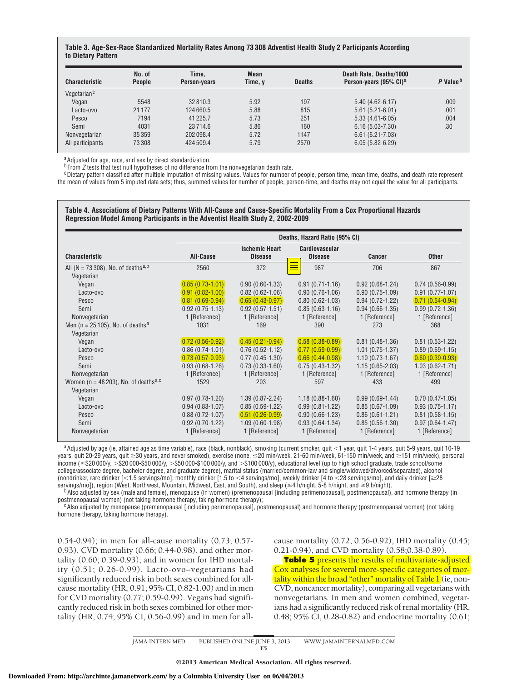#### **Table 3. Age-Sex-Race Standardized Mortality Rates Among 73 308 Adventist Health Study 2 Participants According to Dietary Pattern**

|                         | No. of   | Time.        | Mean    |               | Death Rate, Deaths/1000            |                      |
|-------------------------|----------|--------------|---------|---------------|------------------------------------|----------------------|
| <b>Characteristic</b>   | People   | Person-years | Time, v | <b>Deaths</b> | Person-years (95% CI) <sup>a</sup> | P Value <sup>b</sup> |
| Vegetarian <sup>c</sup> |          |              |         |               |                                    |                      |
| Vegan                   | 5548     | 32810.3      | 5.92    | 197           | $5.40(4.62 - 6.17)$                | .009                 |
| Lacto-ovo               | 21 1 7 7 | 124 660.5    | 5.88    | 815           | $5.61(5.21 - 6.01)$                | .001                 |
| Pesco                   | 7194     | 41 2 2 5.7   | 5.73    | 251           | $5.33(4.61 - 6.05)$                | .004                 |
| Semi                    | 4031     | 23 714.6     | 5.86    | 160           | $6.16(5.03 - 7.30)$                | .30                  |
| Nonvegetarian           | 35359    | 202 098.4    | 5.72    | 1147          | $6.61(6.21 - 7.03)$                |                      |
| All participants        | 73 308   | 424 509.4    | 5.79    | 2570          | $6.05(5.82 - 6.29)$                |                      |

<sup>a</sup> Adjusted for age, race, and sex by direct standardization.<br><sup>b</sup> From *Z* tests that test null hypotheses of no difference from the nonvegetarian death rate.

<sup>c</sup> Dietary pattern classified after multiple imputation of missing values. Values for number of people, person time, mean time, deaths, and death rate represent the mean of values from 5 imputed data sets; thus, summed values for number of people, person-time, and deaths may not equal the value for all participants.

#### **Table 4. Associations of Dietary Patterns With All-Cause and Cause-Specific Mortality From a Cox Proportional Hazards Regression Model Among Participants in the Adventist Health Study 2, 2002-2009**

|                                                       | Deaths, Hazard Ratio (95% CI) |                                         |                                  |                     |                     |  |  |
|-------------------------------------------------------|-------------------------------|-----------------------------------------|----------------------------------|---------------------|---------------------|--|--|
| <b>Characteristic</b>                                 | <b>All-Cause</b>              | <b>Ischemic Heart</b><br><b>Disease</b> | Cardiovascular<br><b>Disease</b> | Cancer              | <b>Other</b>        |  |  |
| All (N = 73 308), No. of deaths <sup>a,b</sup>        | 2560                          | 372                                     | $\equiv$<br>987                  | 706                 | 867                 |  |  |
| Vegetarian                                            |                               |                                         |                                  |                     |                     |  |  |
| Vegan                                                 | $0.85(0.73 - 1.01)$           | $0.90(0.60-1.33)$                       | $0.91(0.71 - 1.16)$              | $0.92(0.68-1.24)$   | $0.74(0.56-0.99)$   |  |  |
| Lacto-ovo                                             | $0.91(0.82 - 1.00)$           | $0.82(0.62 - 1.06)$                     | $0.90(0.76-1.06)$                | $0.90(0.75-1.09)$   | $0.91(0.77 - 1.07)$ |  |  |
| Pesco                                                 | $0.81(0.69-0.94)$             | $(0.65(0.43-0.97))$                     | $0.80(0.62 - 1.03)$              | $0.94(0.72 - 1.22)$ | $(0.71(0.54-0.94))$ |  |  |
| Semi                                                  | $0.92(0.75 - 1.13)$           | $0.92(0.57 - 1.51)$                     | $0.85(0.63 - 1.16)$              | $0.94(0.66-1.35)$   | $0.99(0.72 - 1.36)$ |  |  |
| Nonvegetarian                                         | 1 [Reference]                 | 1 [Reference]                           | 1 [Reference]                    | 1 [Reference]       | 1 [Reference]       |  |  |
| Men (n = $25105$ ), No. of deaths <sup>a</sup>        | 1031                          | 169                                     | 390                              | 273                 | 368                 |  |  |
| Vegetarian                                            |                               |                                         |                                  |                     |                     |  |  |
| Vegan                                                 | $0.72(0.56-0.92)$             | $(0.45(0.21-0.94))$                     | $0.58(0.38-0.89)$                | $0.81(0.48-1.36)$   | $0.81(0.53-1.22)$   |  |  |
| Lacto-ovo                                             | $0.86(0.74-1.01)$             | $0.76(0.52 - 1.12)$                     | $0.77(0.59-0.99)$                | $1.01(0.75-1.37)$   | $0.89(0.69-1.15)$   |  |  |
| Pesco                                                 | $0.73(0.57-0.93)$             | $0.77(0.45-1.30)$                       | $0.66(0.44-0.98)$                | $1.10(0.73 - 1.67)$ | $0.60(0.39 - 0.93)$ |  |  |
| Semi                                                  | $0.93(0.68-1.26)$             | $0.73(0.33 - 1.60)$                     | $0.75(0.43-1.32)$                | $1.15(0.65 - 2.03)$ | $1.03(0.62 - 1.71)$ |  |  |
| Nonvegetarian                                         | 1 [Reference]                 | 1 [Reference]                           | 1 [Reference]                    | 1 [Reference]       | 1 [Reference]       |  |  |
| Women (n = 48 203), No. of deaths $a,c$<br>Vegetarian | 1529                          | 203                                     | 597                              | 433                 | 499                 |  |  |
| Vegan                                                 | $0.97(0.78-1.20)$             | $1.39(0.87 - 2.24)$                     | $1.18(0.88-1.60)$                | $0.99(0.69-1.44)$   | $0.70(0.47-1.05)$   |  |  |
| Lacto-ovo                                             | $0.94(0.83 - 1.07)$           | $0.85(0.59-1.22)$                       | $0.99(0.81 - 1.22)$              | $0.85(0.67 - 1.09)$ | $0.93(0.75 - 1.17)$ |  |  |
| Pesco                                                 | $0.88(0.72 - 1.07)$           | $(0.51 (0.26 - 0.99))$                  | $0.90(0.66 - 1.23)$              | $0.86(0.61-1.21)$   | $0.81(0.58-1.15)$   |  |  |
| Semi                                                  | $0.92(0.70-1.22)$             | $1.09(0.60-1.98)$                       | $0.93(0.64-1.34)$                | $0.85(0.56-1.30)$   | $0.97(0.64 - 1.47)$ |  |  |
| Nonvegetarian                                         | 1 [Reference]                 | 1 [Reference]                           | 1 [Reference]                    | 1 [Reference]       | 1 [Reference]       |  |  |

a Adjusted by age (ie, attained age as time variable), race (black, nonblack), smoking (current smoker, quit <1 year, quit 1-4 years, quit 5-9 years, quit 10-19 years, quit 20-29 years, quit ≥30 years, and never smoked), exercise (none, ≤20 min/week, 21-60 min/week, 61-150 min/week, and ≥151 min/week), personal income (≤\$20 000/y,  $>\$ 20 000-\$50 000/y,  $>\$ 50 000-\$100 000/y, and  $>\$ 100 000/y), educational level (up to high school graduate, trade school/some college/associate degree, bachelor degree, and graduate degree), marital status (married/common-law and single/widowed/divorced/separated), alcohol (nondrinker, rare drinker [<1.5 servings/mo], monthly drinker [1.5 to <4 servings/mo], weekly drinker [4 to <28 servings/mo], and daily drinker [≥28

servings/mo]), region (West, Northwest, Mountain, Midwest, East, and South), and sleep (≤4 h/night, 5-8 h/night, and ≥9 h/night).<br><sup>b</sup>Also adjusted by sex (male and female), menopause (in women) (premenopausal [including p

<sup>c</sup> Also adjusted by menopause (premenopausal [including perimenopausal], postmenopausal) and hormone therapy (postmenopausal women) (not taking hormone therapy, taking hormone therapy).

0.54-0.94); in men for all-cause mortality (0.73; 0.57- 0.93), CVD mortality (0.66; 0.44-0.98), and other mortality (0.60; 0.39-0.93); and in women for IHD mortality (0.51; 0.26-0.99). Lacto-ovo–vegetarians had significantly reduced risk in both sexes combined for allcause mortality (HR, 0.91; 95% CI, 0.82-1.00) and in men for CVD mortality (0.77; 0.59-0.99). Vegans had significantly reduced risk in both sexes combined for other mortality (HR, 0.74; 95% CI, 0.56-0.99) and in men for allcause mortality (0.72; 0.56-0.92), IHD mortality (0.45; 0.21-0.94), and CVD mortality (0.58;0.38-0.89).

**Table 5** presents the results of multivariate-adjusted Cox analyses for several more-specific categories of mortality within the broad "other" mortality of Table 1 (ie, non-CVD, noncancer mortality), comparing all vegetarians with nonvegetarians. In men and women combined, vegetarians had a significantly reduced risk of renal mortality (HR, 0.48; 95% CI, 0.28-0.82) and endocrine mortality (0.61;

JAMA INTERN MED PUBLISHED ONLINE JUNE 3, 2013 WWW. JAMAINTERNALMED.COM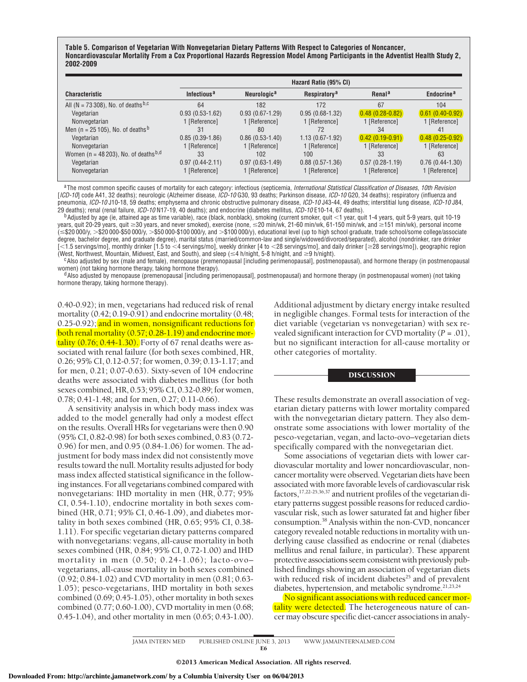**Table 5. Comparison of Vegetarian With Nonvegetarian Dietary Patterns With Respect to Categories of Noncancer, Noncardiovascular Mortality From a Cox Proportional Hazards Regression Model Among Participants in the Adventist Health Study 2, 2002-2009**

|                                                | Hazard Ratio (95% CI)   |                         |                                |                     |                        |  |  |
|------------------------------------------------|-------------------------|-------------------------|--------------------------------|---------------------|------------------------|--|--|
| <b>Characteristic</b>                          | Infectious <sup>a</sup> | Neurologic <sup>a</sup> | <b>Respiratory<sup>a</sup></b> | Renal <sup>a</sup>  | Endocrine <sup>a</sup> |  |  |
| All (N = 73 308), No. of deaths $b,c$          | 64                      | 182                     | 172                            | 67                  | 104                    |  |  |
| Vegetarian                                     | $0.93(0.53-1.62)$       | $0.93(0.67 - 1.29)$     | $0.95(0.68-1.32)$              | $0.48(0.28-0.82)$   | $0.61(0.40-0.92)$      |  |  |
| Nonvegetarian                                  | 1 [Reference]           | 1 [Reference]           | 1 [Reference]                  | 1 [Reference]       | 1 [Reference]          |  |  |
| Men (n = $25105$ ), No. of deaths <sup>b</sup> | 31                      | 80                      | 72                             | 34                  | 41                     |  |  |
| Vegetarian                                     | $0.85(0.39-1.86)$       | $0.86(0.53-1.40)$       | 1.13 (0.67-1.92)               | $(0.42(0.19-0.91))$ | $(0.48(0.25-0.92))$    |  |  |
| Nonvegetarian                                  | 1 [Reference]           | 1 [Reference]           | 1 [Reference]                  | 1 [Reference]       | 1 [Reference]          |  |  |
| Women (n = 48 203), No. of deaths $b,d$        | 33                      | 102                     | 100                            | 33                  | 63                     |  |  |
| Vegetarian                                     | $0.97(0.44 - 2.11)$     | $0.97(0.63 - 1.49)$     | $0.88(0.57 - 1.36)$            | $0.57(0.28 - 1.19)$ | $0.76(0.44-1.30)$      |  |  |
| Nonvegetarian                                  | 1 [Reference]           | 1 [Reference]           | 1 [Reference]                  | 1 [Reference]       | 1 [Reference]          |  |  |

aThe most common specific causes of mortality for each category: infectious (septicemia, International Statistical Classification of Diseases, 10th Revision [ICD-10] code A41, 32 deaths); neurologic (Alzheimer disease, ICD-10 G30, 93 deaths; Parkinson disease, ICD-10 G20, 34 deaths); respiratory (influenza and pneumonia, ICD-10 J10-18, 59 deaths; emphysema and chronic obstructive pulmonary disease, ICD-10 J43-44, 49 deaths; interstitial lung disease, ICD-10 J84,

29 deaths); renal (renal failure, *ICD-10* N17-19, 40 deaths); and endocrine (diabetes mellitus, *ICD-10* E10-14, 67 deaths).<br><sup>b</sup>Adjusted by age (ie, attained age as time variable), race (black, nonblack), smoking (current years, quit 20-29 years, quit ≥30 years, and never smoked), exercise (none, ≤20 min/wk, 21-60 min/wk, 61-150 min/wk, and ≥151 min/wk), personal income (≤\$20 000/y, >\$20 000-\$50 000/y, >\$50 000-\$100 000/y, and >\$100 000/y), educational level (up to high school graduate, trade school/some college/associate degree, bachelor degree, and graduate degree), marital status (married/common-law and single/widowed/divorced/separated), alcohol (nondrinker, rare drinker [<1.5 servings/mo], monthly drinker [1.5 to <4 servings/mo], weekly drinker [4 to <28 servings/mo], and daily drinker [≥28 servings/mo]), geographic region<br>(West, Northwest, Mountain, Midwest, East, and South), and sleep

<sup>c</sup> Also adjusted by sex (male and female), menopause (premenopausal [including perimenopausal], postmenopausal), and hormone therapy (in postmenopausal<br>women) (not taking hormone therapy, taking hormone therapy).

<sup>d</sup> Also adjusted by menopause (premenopausal [including perimenopausal], postmenopausal) and hormone therapy (in postmenopausal women) (not taking hormone therapy, taking hormone therapy).

0.40-0.92); in men, vegetarians had reduced risk of renal mortality (0.42; 0.19-0.91) and endocrine mortality (0.48; 0.25-0.92); and in women, nonsignificant reductions for both renal mortality (0.57; 0.28-1.19) and endocrine mortality  $(0.76; 0.44-1.30)$ . Forty of 67 renal deaths were associated with renal failure (for both sexes combined, HR, 0.26; 95% CI, 0.12-0.57; for women, 0.39; 0.13-1.17; and for men, 0.21; 0.07-0.63). Sixty-seven of 104 endocrine deaths were associated with diabetes mellitus (for both sexes combined, HR, 0.53; 95% CI, 0.32-0.89; for women, 0.78; 0.41-1.48; and for men, 0.27; 0.11-0.66).

A sensitivity analysis in which body mass index was added to the model generally had only a modest effect on the results. Overall HRs for vegetarians were then 0.90 (95% CI, 0.82-0.98) for both sexes combined, 0.83 (0.72- 0.96) for men, and 0.95 (0.84-1.06) for women. The adjustment for body mass index did not consistently move results toward the null. Mortality results adjusted for body mass index affected statistical significance in the following instances. For all vegetarians combined compared with nonvegetarians: IHD mortality in men (HR, 0.77; 95% CI, 0.54-1.10), endocrine mortality in both sexes combined (HR, 0.71; 95% CI, 0.46-1.09), and diabetes mortality in both sexes combined (HR, 0.65; 95% CI, 0.38- 1.11). For specific vegetarian dietary patterns compared with nonvegetarians: vegans, all-cause mortality in both sexes combined (HR, 0.84; 95% CI, 0.72-1.00) and IHD mortality in men (0.50; 0.24-1.06); lacto-ovo– vegetarians, all-cause mortality in both sexes combined (0.92; 0.84-1.02) and CVD mortality in men (0.81; 0.63- 1.05); pesco-vegetarians, IHD mortality in both sexes combined (0.69; 0.45-1.05), other mortality in both sexes combined (0.77; 0.60-1.00), CVD mortality in men (0.68; 0.45-1.04), and other mortality in men (0.65; 0.43-1.00).

Additional adjustment by dietary energy intake resulted in negligible changes. Formal tests for interaction of the diet variable (vegetarian vs nonvegetarian) with sex revealed significant interaction for CVD mortality (*P* = .01), but no significant interaction for all-cause mortality or other categories of mortality.

### DISCUSSION

These results demonstrate an overall association of vegetarian dietary patterns with lower mortality compared with the nonvegetarian dietary pattern. They also demonstrate some associations with lower mortality of the pesco-vegetarian, vegan, and lacto-ovo–vegetarian diets specifically compared with the nonvegetarian diet.

Some associations of vegetarian diets with lower cardiovascular mortality and lower noncardiovascular, noncancer mortality were observed. Vegetarian diets have been associated with more favorable levels of cardiovascular risk factors,17,22-25,36,37 and nutrient profiles of the vegetarian dietary patterns suggest possible reasons for reduced cardiovascular risk, such as lower saturated fat and higher fiber consumption.38 Analysis within the non-CVD, noncancer category revealed notable reductions in mortality with underlying cause classified as endocrine or renal (diabetes mellitus and renal failure, in particular). These apparent protective associations seem consistent with previously published findings showing an association of vegetarian diets with reduced risk of incident diabetes<sup>25</sup> and of prevalent diabetes, hypertension, and metabolic syndrome.<sup>21,23,24</sup>

No significant associations with reduced cancer mortality were detected. The heterogeneous nature of cancer may obscure specific diet-cancer associations in analy-

JAMA INTERN MED PUBLISHED ONLINE JUNE 3, 2013 WWW. JAMAINTERNALMED.COM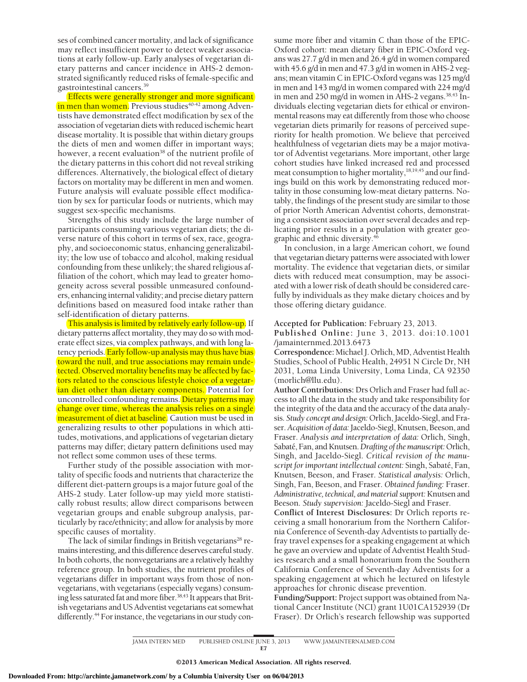ses of combined cancer mortality, and lack of significance may reflect insufficient power to detect weaker associations at early follow-up. Early analyses of vegetarian dietary patterns and cancer incidence in AHS-2 demonstrated significantly reduced risks of female-specific and gastrointestinal cancers.39

Effects were generally stronger and more significant in men than women. Previous studies $40-42$  among Adventists have demonstrated effect modification by sex of the association of vegetarian diets with reduced ischemic heart disease mortality. It is possible that within dietary groups the diets of men and women differ in important ways; however, a recent evaluation<sup>38</sup> of the nutrient profile of the dietary patterns in this cohort did not reveal striking differences. Alternatively, the biological effect of dietary factors on mortality may be different in men and women. Future analysis will evaluate possible effect modification by sex for particular foods or nutrients, which may suggest sex-specific mechanisms.

Strengths of this study include the large number of participants consuming various vegetarian diets; the diverse nature of this cohort in terms of sex, race, geography, and socioeconomic status, enhancing generalizability; the low use of tobacco and alcohol, making residual confounding from these unlikely; the shared religious affiliation of the cohort, which may lead to greater homogeneity across several possible unmeasured confounders, enhancing internal validity; and precise dietary pattern definitions based on measured food intake rather than self-identification of dietary patterns.

This analysis is limited by relatively early follow-up. If dietary patterns affect mortality, they may do so with moderate effect sizes, via complex pathways, and with long latency periods. Early follow-up analysis may thus have bias toward the null, and true associations may remain undetected. Observed mortality benefits may be affected by factors related to the conscious lifestyle choice of a vegetarian diet other than dietary components. Potential for uncontrolled confounding remains. Dietary patterns may change over time, whereas the analysis relies on a single measurement of diet at baseline. Caution must be used in generalizing results to other populations in which attitudes, motivations, and applications of vegetarian dietary patterns may differ; dietary pattern definitions used may not reflect some common uses of these terms.

Further study of the possible association with mortality of specific foods and nutrients that characterize the different diet-pattern groups is a major future goal of the AHS-2 study. Later follow-up may yield more statistically robust results; allow direct comparisons between vegetarian groups and enable subgroup analysis, particularly by race/ethnicity; and allow for analysis by more specific causes of mortality.

The lack of similar findings in British vegetarians<sup>28</sup> remains interesting, and this difference deserves careful study. In both cohorts, the nonvegetarians are a relatively healthy reference group. In both studies, the nutrient profiles of vegetarians differ in important ways from those of nonvegetarians, with vegetarians (especially vegans) consuming less saturated fat and more fiber.<sup>38,43</sup> It appears that British vegetarians and US Adventist vegetarians eat somewhat differently.<sup>44</sup> For instance, the vegetarians in our study consume more fiber and vitamin C than those of the EPIC-Oxford cohort: mean dietary fiber in EPIC-Oxford vegans was 27.7 g/d in men and 26.4 g/d in women compared with 45.6 g/d in men and 47.3 g/d in women in AHS-2 vegans; mean vitamin C in EPIC-Oxford vegans was 125 mg/d in men and 143 mg/d in women compared with 224 mg/d in men and  $250 \text{ mg/d}$  in women in AHS-2 vegans.<sup>38,43</sup> Individuals electing vegetarian diets for ethical or environmental reasons may eat differently from those who choose vegetarian diets primarily for reasons of perceived superiority for health promotion. We believe that perceived healthfulness of vegetarian diets may be a major motivator of Adventist vegetarians. More important, other large cohort studies have linked increased red and processed meat consumption to higher mortality,<sup>18,19,45</sup> and our findings build on this work by demonstrating reduced mortality in those consuming low-meat dietary patterns. Notably, the findings of the present study are similar to those of prior North American Adventist cohorts, demonstrating a consistent association over several decades and replicating prior results in a population with greater geographic and ethnic diversity.<sup>46</sup>

In conclusion, in a large American cohort, we found that vegetarian dietary patterns were associated with lower mortality. The evidence that vegetarian diets, or similar diets with reduced meat consumption, may be associated with a lower risk of death should be considered carefully by individuals as they make dietary choices and by those offering dietary guidance.

**Accepted for Publication:** February 23, 2013.

**Published Online:** June 3, 2013. doi:10.1001 /jamainternmed.2013.6473

**Correspondence:** Michael J. Orlich, MD, Adventist Health Studies, School of Public Health, 24951 N Circle Dr, NH 2031, Loma Linda University, Loma Linda, CA 92350 (morlich@llu.edu).

**Author Contributions:** Drs Orlich and Fraser had full access to all the data in the study and take responsibility for the integrity of the data and the accuracy of the data analysis. *Study concept and design:* Orlich, Jaceldo-Siegl, and Fraser. *Acquisition of data:*Jaceldo-Siegl, Knutsen, Beeson, and Fraser. *Analysis and interpretation of data:* Orlich, Singh, Sabaté, Fan, and Knutsen. Drafting of the manuscript: Orlich, Singh, and Jaceldo-Siegl. *Critical revision of the manuscript for important intellectual content:* Singh, Sabate´, Fan, Knutsen, Beeson, and Fraser. *Statistical analysis:* Orlich, Singh, Fan, Beeson, and Fraser. *Obtained funding:* Fraser. *Administrative,technical, and material support:*Knutsen and Beeson. *Study supervision:* Jaceldo-Siegl and Fraser.

**Conflict of Interest Disclosures:** Dr Orlich reports receiving a small honorarium from the Northern California Conference of Seventh-day Adventists to partially defray travel expenses for a speaking engagement at which he gave an overview and update of Adventist Health Studies research and a small honorarium from the Southern California Conference of Seventh-day Adventists for a speaking engagement at which he lectured on lifestyle approaches for chronic disease prevention.

**Funding/Support:** Project support was obtained from National Cancer Institute (NCI) grant 1U01CA152939 (Dr Fraser). Dr Orlich's research fellowship was supported